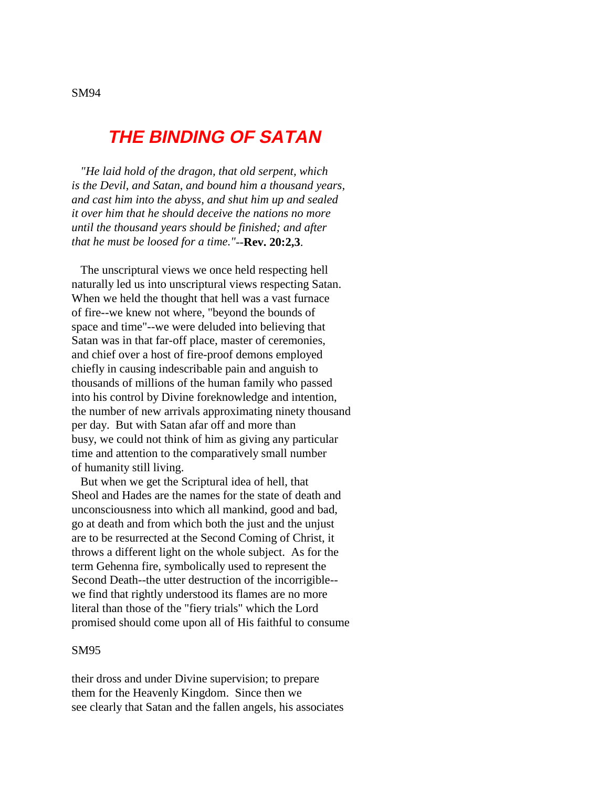# **THE BINDING OF SATAN**

 *"He laid hold of the dragon, that old serpent, which is the Devil, and Satan, and bound him a thousand years, and cast him into the abyss, and shut him up and sealed it over him that he should deceive the nations no more until the thousand years should be finished; and after that he must be loosed for a time."*--**Rev. 20:2,3**.

 The unscriptural views we once held respecting hell naturally led us into unscriptural views respecting Satan. When we held the thought that hell was a vast furnace of fire--we knew not where, "beyond the bounds of space and time"--we were deluded into believing that Satan was in that far-off place, master of ceremonies, and chief over a host of fire-proof demons employed chiefly in causing indescribable pain and anguish to thousands of millions of the human family who passed into his control by Divine foreknowledge and intention, the number of new arrivals approximating ninety thousand per day. But with Satan afar off and more than busy, we could not think of him as giving any particular time and attention to the comparatively small number of humanity still living.

 But when we get the Scriptural idea of hell, that Sheol and Hades are the names for the state of death and unconsciousness into which all mankind, good and bad, go at death and from which both the just and the unjust are to be resurrected at the Second Coming of Christ, it throws a different light on the whole subject. As for the term Gehenna fire, symbolically used to represent the Second Death--the utter destruction of the incorrigible- we find that rightly understood its flames are no more literal than those of the "fiery trials" which the Lord promised should come upon all of His faithful to consume

#### SM95

their dross and under Divine supervision; to prepare them for the Heavenly Kingdom. Since then we see clearly that Satan and the fallen angels, his associates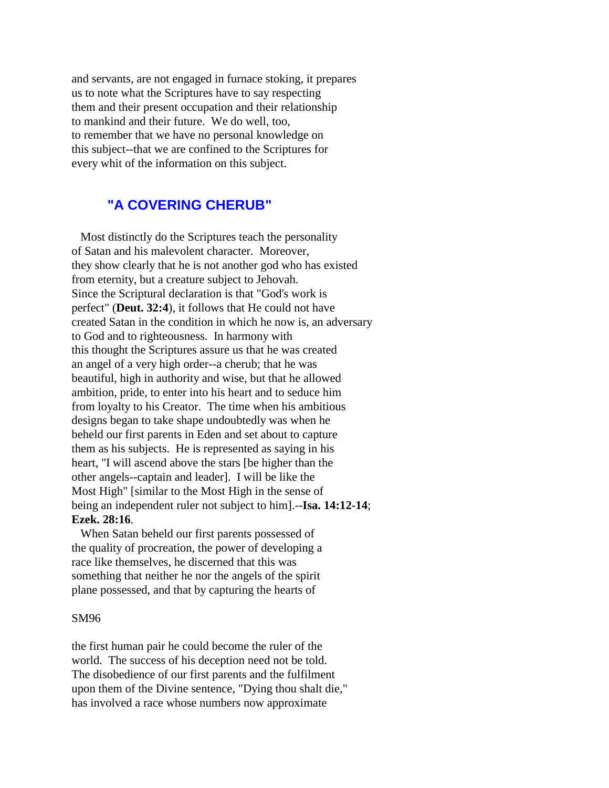and servants, are not engaged in furnace stoking, it prepares us to note what the Scriptures have to say respecting them and their present occupation and their relationship to mankind and their future. We do well, too, to remember that we have no personal knowledge on this subject--that we are confined to the Scriptures for every whit of the information on this subject.

# **"A COVERING CHERUB"**

 Most distinctly do the Scriptures teach the personality of Satan and his malevolent character. Moreover, they show clearly that he is not another god who has existed from eternity, but a creature subject to Jehovah. Since the Scriptural declaration is that "God's work is perfect" (**Deut. 32:4**), it follows that He could not have created Satan in the condition in which he now is, an adversary to God and to righteousness. In harmony with this thought the Scriptures assure us that he was created an angel of a very high order--a cherub; that he was beautiful, high in authority and wise, but that he allowed ambition, pride, to enter into his heart and to seduce him from loyalty to his Creator. The time when his ambitious designs began to take shape undoubtedly was when he beheld our first parents in Eden and set about to capture them as his subjects. He is represented as saying in his heart, "I will ascend above the stars [be higher than the other angels--captain and leader]. I will be like the Most High" [similar to the Most High in the sense of being an independent ruler not subject to him].--**Isa. 14:12-14**; **Ezek. 28:16**.

 When Satan beheld our first parents possessed of the quality of procreation, the power of developing a race like themselves, he discerned that this was something that neither he nor the angels of the spirit plane possessed, and that by capturing the hearts of

#### SM96

the first human pair he could become the ruler of the world. The success of his deception need not be told. The disobedience of our first parents and the fulfilment upon them of the Divine sentence, "Dying thou shalt die," has involved a race whose numbers now approximate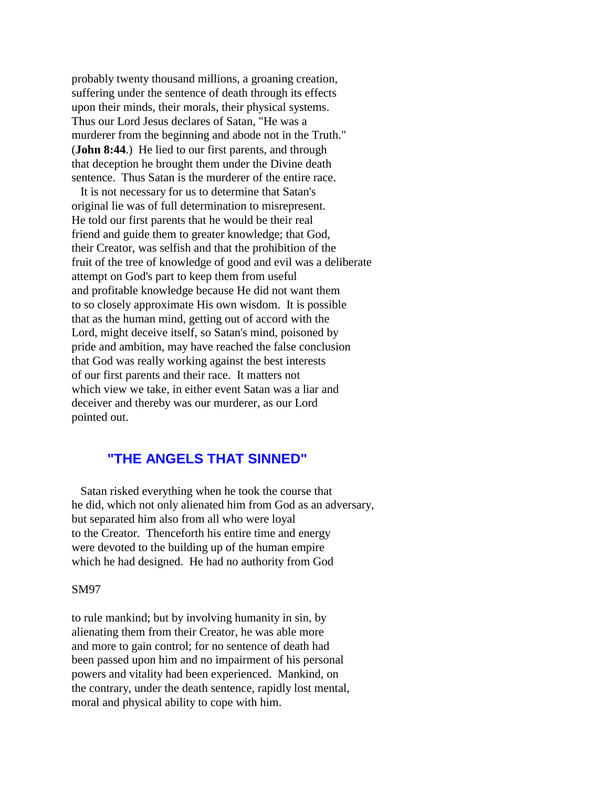probably twenty thousand millions, a groaning creation, suffering under the sentence of death through its effects upon their minds, their morals, their physical systems. Thus our Lord Jesus declares of Satan, "He was a murderer from the beginning and abode not in the Truth." (**John 8:44**.) He lied to our first parents, and through that deception he brought them under the Divine death sentence. Thus Satan is the murderer of the entire race.

 It is not necessary for us to determine that Satan's original lie was of full determination to misrepresent. He told our first parents that he would be their real friend and guide them to greater knowledge; that God, their Creator, was selfish and that the prohibition of the fruit of the tree of knowledge of good and evil was a deliberate attempt on God's part to keep them from useful and profitable knowledge because He did not want them to so closely approximate His own wisdom. It is possible that as the human mind, getting out of accord with the Lord, might deceive itself, so Satan's mind, poisoned by pride and ambition, may have reached the false conclusion that God was really working against the best interests of our first parents and their race. It matters not which view we take, in either event Satan was a liar and deceiver and thereby was our murderer, as our Lord pointed out.

# **"THE ANGELS THAT SINNED"**

 Satan risked everything when he took the course that he did, which not only alienated him from God as an adversary, but separated him also from all who were loyal to the Creator. Thenceforth his entire time and energy were devoted to the building up of the human empire which he had designed. He had no authority from God

#### SM97

to rule mankind; but by involving humanity in sin, by alienating them from their Creator, he was able more and more to gain control; for no sentence of death had been passed upon him and no impairment of his personal powers and vitality had been experienced. Mankind, on the contrary, under the death sentence, rapidly lost mental, moral and physical ability to cope with him.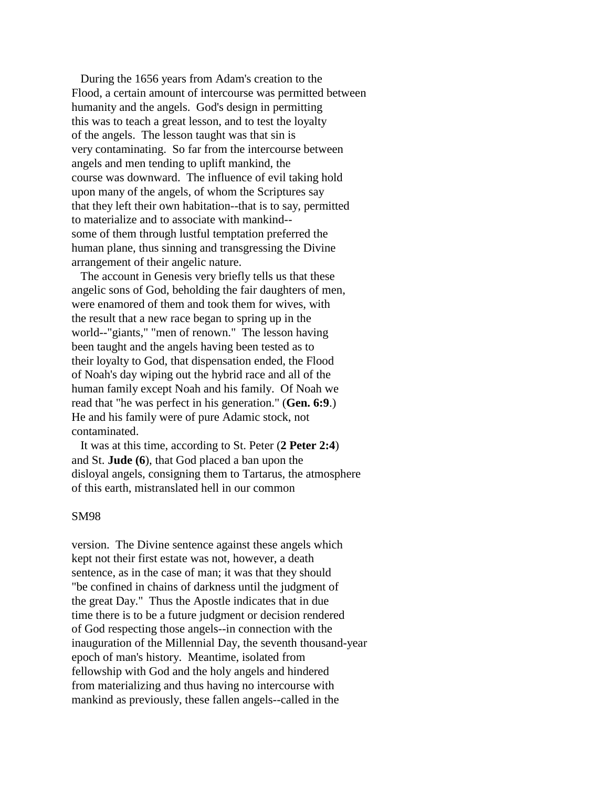During the 1656 years from Adam's creation to the Flood, a certain amount of intercourse was permitted between humanity and the angels. God's design in permitting this was to teach a great lesson, and to test the loyalty of the angels. The lesson taught was that sin is very contaminating. So far from the intercourse between angels and men tending to uplift mankind, the course was downward. The influence of evil taking hold upon many of the angels, of whom the Scriptures say that they left their own habitation--that is to say, permitted to materialize and to associate with mankind- some of them through lustful temptation preferred the human plane, thus sinning and transgressing the Divine arrangement of their angelic nature.

 The account in Genesis very briefly tells us that these angelic sons of God, beholding the fair daughters of men, were enamored of them and took them for wives, with the result that a new race began to spring up in the world--"giants," "men of renown." The lesson having been taught and the angels having been tested as to their loyalty to God, that dispensation ended, the Flood of Noah's day wiping out the hybrid race and all of the human family except Noah and his family. Of Noah we read that "he was perfect in his generation." (**Gen. 6:9**.) He and his family were of pure Adamic stock, not contaminated.

 It was at this time, according to St. Peter (**2 Peter 2:4**) and St. **Jude (6**), that God placed a ban upon the disloyal angels, consigning them to Tartarus, the atmosphere of this earth, mistranslated hell in our common

#### SM98

version. The Divine sentence against these angels which kept not their first estate was not, however, a death sentence, as in the case of man; it was that they should "be confined in chains of darkness until the judgment of the great Day." Thus the Apostle indicates that in due time there is to be a future judgment or decision rendered of God respecting those angels--in connection with the inauguration of the Millennial Day, the seventh thousand-year epoch of man's history. Meantime, isolated from fellowship with God and the holy angels and hindered from materializing and thus having no intercourse with mankind as previously, these fallen angels--called in the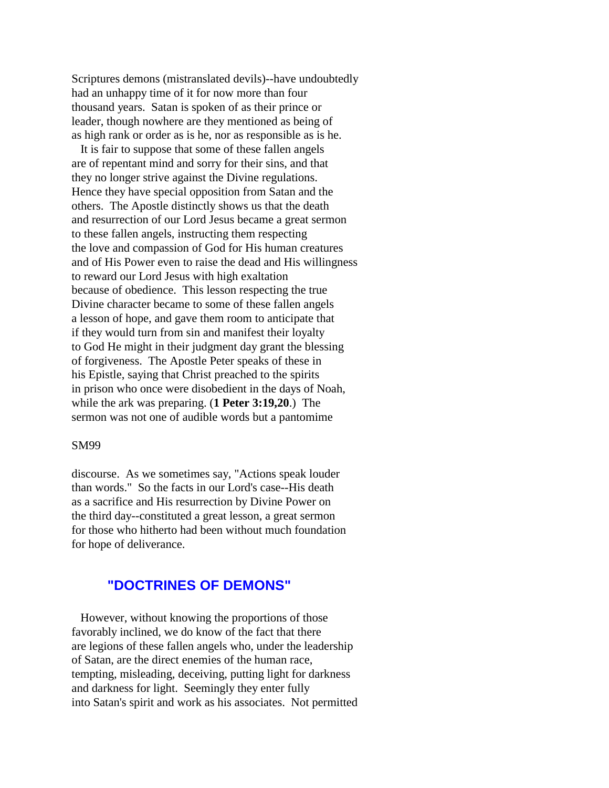Scriptures demons (mistranslated devils)--have undoubtedly had an unhappy time of it for now more than four thousand years. Satan is spoken of as their prince or leader, though nowhere are they mentioned as being of as high rank or order as is he, nor as responsible as is he.

 It is fair to suppose that some of these fallen angels are of repentant mind and sorry for their sins, and that they no longer strive against the Divine regulations. Hence they have special opposition from Satan and the others. The Apostle distinctly shows us that the death and resurrection of our Lord Jesus became a great sermon to these fallen angels, instructing them respecting the love and compassion of God for His human creatures and of His Power even to raise the dead and His willingness to reward our Lord Jesus with high exaltation because of obedience. This lesson respecting the true Divine character became to some of these fallen angels a lesson of hope, and gave them room to anticipate that if they would turn from sin and manifest their loyalty to God He might in their judgment day grant the blessing of forgiveness. The Apostle Peter speaks of these in his Epistle, saying that Christ preached to the spirits in prison who once were disobedient in the days of Noah, while the ark was preparing. (**1 Peter 3:19,20**.) The sermon was not one of audible words but a pantomime

#### SM99

discourse. As we sometimes say, "Actions speak louder than words." So the facts in our Lord's case--His death as a sacrifice and His resurrection by Divine Power on the third day--constituted a great lesson, a great sermon for those who hitherto had been without much foundation for hope of deliverance.

# **"DOCTRINES OF DEMONS"**

 However, without knowing the proportions of those favorably inclined, we do know of the fact that there are legions of these fallen angels who, under the leadership of Satan, are the direct enemies of the human race, tempting, misleading, deceiving, putting light for darkness and darkness for light. Seemingly they enter fully into Satan's spirit and work as his associates. Not permitted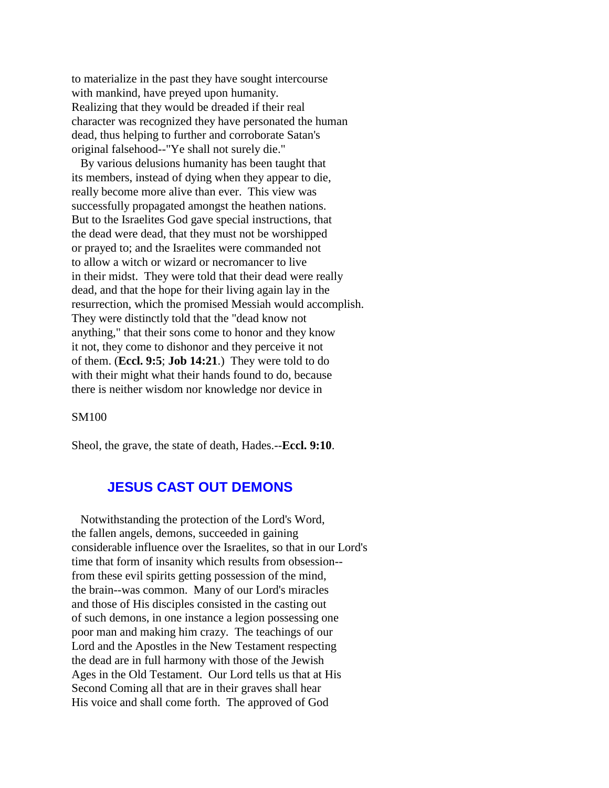to materialize in the past they have sought intercourse with mankind, have preyed upon humanity. Realizing that they would be dreaded if their real character was recognized they have personated the human dead, thus helping to further and corroborate Satan's original falsehood--"Ye shall not surely die."

 By various delusions humanity has been taught that its members, instead of dying when they appear to die, really become more alive than ever. This view was successfully propagated amongst the heathen nations. But to the Israelites God gave special instructions, that the dead were dead, that they must not be worshipped or prayed to; and the Israelites were commanded not to allow a witch or wizard or necromancer to live in their midst. They were told that their dead were really dead, and that the hope for their living again lay in the resurrection, which the promised Messiah would accomplish. They were distinctly told that the "dead know not anything," that their sons come to honor and they know it not, they come to dishonor and they perceive it not of them. (**Eccl. 9:5**; **Job 14:21**.) They were told to do with their might what their hands found to do, because there is neither wisdom nor knowledge nor device in

SM100

Sheol, the grave, the state of death, Hades.--**Eccl. 9:10**.

# **JESUS CAST OUT DEMONS**

 Notwithstanding the protection of the Lord's Word, the fallen angels, demons, succeeded in gaining considerable influence over the Israelites, so that in our Lord's time that form of insanity which results from obsession- from these evil spirits getting possession of the mind, the brain--was common. Many of our Lord's miracles and those of His disciples consisted in the casting out of such demons, in one instance a legion possessing one poor man and making him crazy. The teachings of our Lord and the Apostles in the New Testament respecting the dead are in full harmony with those of the Jewish Ages in the Old Testament. Our Lord tells us that at His Second Coming all that are in their graves shall hear His voice and shall come forth. The approved of God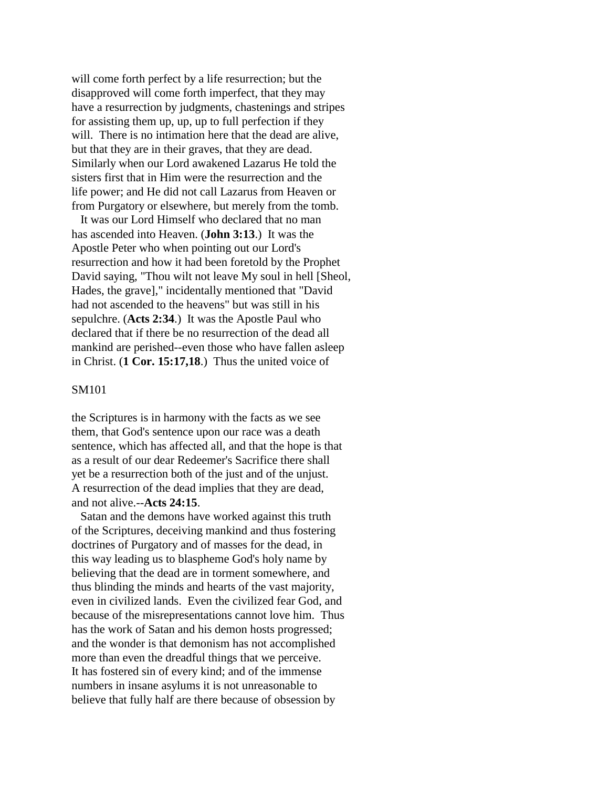will come forth perfect by a life resurrection; but the disapproved will come forth imperfect, that they may have a resurrection by judgments, chastenings and stripes for assisting them up, up, up to full perfection if they will. There is no intimation here that the dead are alive, but that they are in their graves, that they are dead. Similarly when our Lord awakened Lazarus He told the sisters first that in Him were the resurrection and the life power; and He did not call Lazarus from Heaven or from Purgatory or elsewhere, but merely from the tomb.

 It was our Lord Himself who declared that no man has ascended into Heaven. (**John 3:13**.) It was the Apostle Peter who when pointing out our Lord's resurrection and how it had been foretold by the Prophet David saying, "Thou wilt not leave My soul in hell [Sheol, Hades, the grave]," incidentally mentioned that "David had not ascended to the heavens" but was still in his sepulchre. (**Acts 2:34**.) It was the Apostle Paul who declared that if there be no resurrection of the dead all mankind are perished--even those who have fallen asleep in Christ. (**1 Cor. 15:17,18**.) Thus the united voice of

#### SM101

the Scriptures is in harmony with the facts as we see them, that God's sentence upon our race was a death sentence, which has affected all, and that the hope is that as a result of our dear Redeemer's Sacrifice there shall yet be a resurrection both of the just and of the unjust. A resurrection of the dead implies that they are dead, and not alive.--**Acts 24:15**.

 Satan and the demons have worked against this truth of the Scriptures, deceiving mankind and thus fostering doctrines of Purgatory and of masses for the dead, in this way leading us to blaspheme God's holy name by believing that the dead are in torment somewhere, and thus blinding the minds and hearts of the vast majority, even in civilized lands. Even the civilized fear God, and because of the misrepresentations cannot love him. Thus has the work of Satan and his demon hosts progressed; and the wonder is that demonism has not accomplished more than even the dreadful things that we perceive. It has fostered sin of every kind; and of the immense numbers in insane asylums it is not unreasonable to believe that fully half are there because of obsession by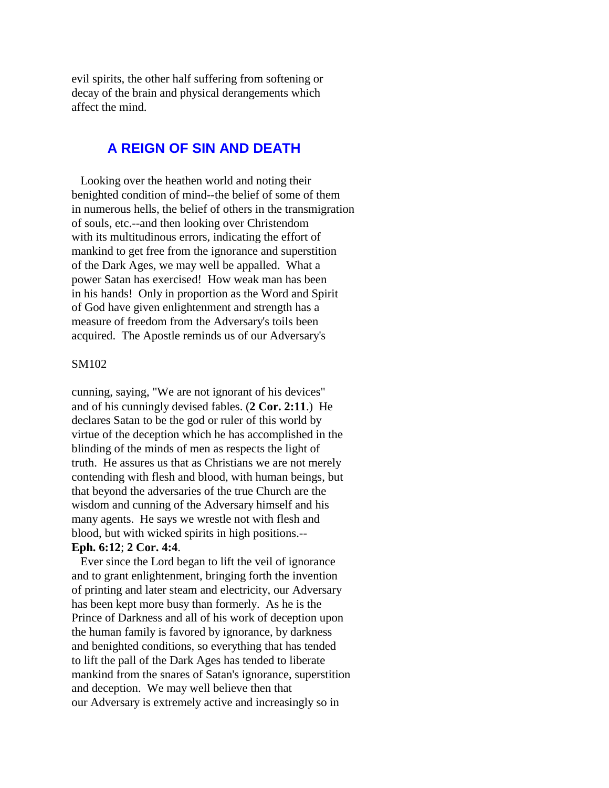evil spirits, the other half suffering from softening or decay of the brain and physical derangements which affect the mind.

# **A REIGN OF SIN AND DEATH**

 Looking over the heathen world and noting their benighted condition of mind--the belief of some of them in numerous hells, the belief of others in the transmigration of souls, etc.--and then looking over Christendom with its multitudinous errors, indicating the effort of mankind to get free from the ignorance and superstition of the Dark Ages, we may well be appalled. What a power Satan has exercised! How weak man has been in his hands! Only in proportion as the Word and Spirit of God have given enlightenment and strength has a measure of freedom from the Adversary's toils been acquired. The Apostle reminds us of our Adversary's

#### SM102

cunning, saying, "We are not ignorant of his devices" and of his cunningly devised fables. (**2 Cor. 2:11**.) He declares Satan to be the god or ruler of this world by virtue of the deception which he has accomplished in the blinding of the minds of men as respects the light of truth. He assures us that as Christians we are not merely contending with flesh and blood, with human beings, but that beyond the adversaries of the true Church are the wisdom and cunning of the Adversary himself and his many agents. He says we wrestle not with flesh and blood, but with wicked spirits in high positions.--

### **Eph. 6:12**; **2 Cor. 4:4**.

 Ever since the Lord began to lift the veil of ignorance and to grant enlightenment, bringing forth the invention of printing and later steam and electricity, our Adversary has been kept more busy than formerly. As he is the Prince of Darkness and all of his work of deception upon the human family is favored by ignorance, by darkness and benighted conditions, so everything that has tended to lift the pall of the Dark Ages has tended to liberate mankind from the snares of Satan's ignorance, superstition and deception. We may well believe then that our Adversary is extremely active and increasingly so in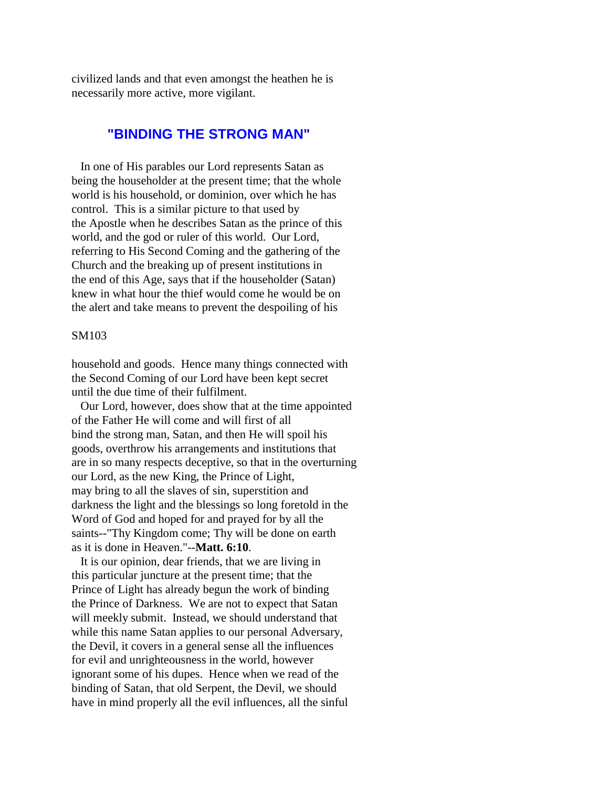civilized lands and that even amongst the heathen he is necessarily more active, more vigilant.

# **"BINDING THE STRONG MAN"**

 In one of His parables our Lord represents Satan as being the householder at the present time; that the whole world is his household, or dominion, over which he has control. This is a similar picture to that used by the Apostle when he describes Satan as the prince of this world, and the god or ruler of this world. Our Lord, referring to His Second Coming and the gathering of the Church and the breaking up of present institutions in the end of this Age, says that if the householder (Satan) knew in what hour the thief would come he would be on the alert and take means to prevent the despoiling of his

#### SM103

household and goods. Hence many things connected with the Second Coming of our Lord have been kept secret until the due time of their fulfilment.

 Our Lord, however, does show that at the time appointed of the Father He will come and will first of all bind the strong man, Satan, and then He will spoil his goods, overthrow his arrangements and institutions that are in so many respects deceptive, so that in the overturning our Lord, as the new King, the Prince of Light, may bring to all the slaves of sin, superstition and darkness the light and the blessings so long foretold in the Word of God and hoped for and prayed for by all the saints--"Thy Kingdom come; Thy will be done on earth as it is done in Heaven."--**Matt. 6:10**.

 It is our opinion, dear friends, that we are living in this particular juncture at the present time; that the Prince of Light has already begun the work of binding the Prince of Darkness. We are not to expect that Satan will meekly submit. Instead, we should understand that while this name Satan applies to our personal Adversary, the Devil, it covers in a general sense all the influences for evil and unrighteousness in the world, however ignorant some of his dupes. Hence when we read of the binding of Satan, that old Serpent, the Devil, we should have in mind properly all the evil influences, all the sinful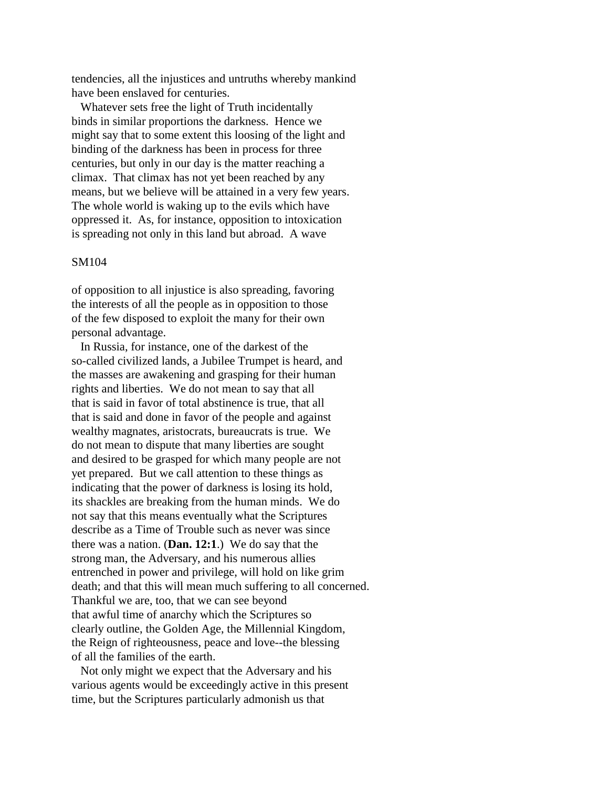tendencies, all the injustices and untruths whereby mankind have been enslaved for centuries.

 Whatever sets free the light of Truth incidentally binds in similar proportions the darkness. Hence we might say that to some extent this loosing of the light and binding of the darkness has been in process for three centuries, but only in our day is the matter reaching a climax. That climax has not yet been reached by any means, but we believe will be attained in a very few years. The whole world is waking up to the evils which have oppressed it. As, for instance, opposition to intoxication is spreading not only in this land but abroad. A wave

#### SM104

of opposition to all injustice is also spreading, favoring the interests of all the people as in opposition to those of the few disposed to exploit the many for their own personal advantage.

 In Russia, for instance, one of the darkest of the so-called civilized lands, a Jubilee Trumpet is heard, and the masses are awakening and grasping for their human rights and liberties. We do not mean to say that all that is said in favor of total abstinence is true, that all that is said and done in favor of the people and against wealthy magnates, aristocrats, bureaucrats is true. We do not mean to dispute that many liberties are sought and desired to be grasped for which many people are not yet prepared. But we call attention to these things as indicating that the power of darkness is losing its hold, its shackles are breaking from the human minds. We do not say that this means eventually what the Scriptures describe as a Time of Trouble such as never was since there was a nation. (**Dan. 12:1**.) We do say that the strong man, the Adversary, and his numerous allies entrenched in power and privilege, will hold on like grim death; and that this will mean much suffering to all concerned. Thankful we are, too, that we can see beyond that awful time of anarchy which the Scriptures so clearly outline, the Golden Age, the Millennial Kingdom, the Reign of righteousness, peace and love--the blessing of all the families of the earth.

 Not only might we expect that the Adversary and his various agents would be exceedingly active in this present time, but the Scriptures particularly admonish us that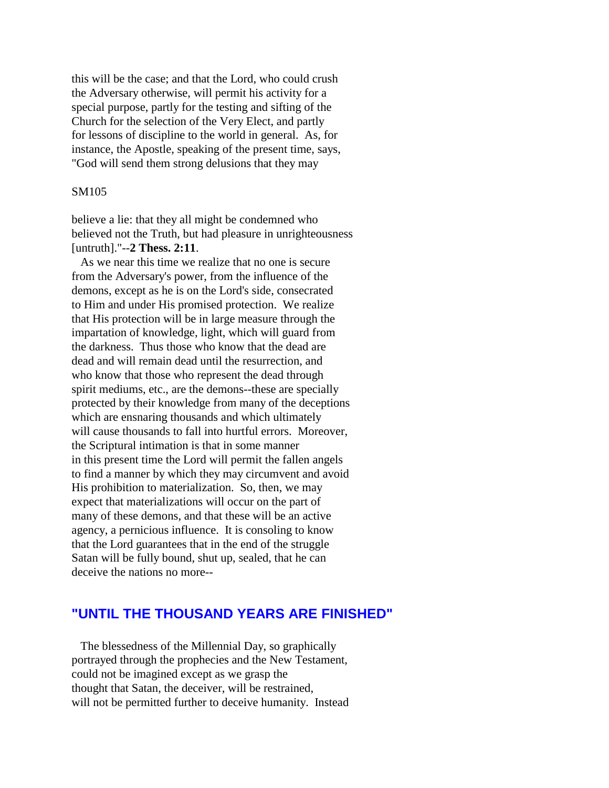this will be the case; and that the Lord, who could crush the Adversary otherwise, will permit his activity for a special purpose, partly for the testing and sifting of the Church for the selection of the Very Elect, and partly for lessons of discipline to the world in general. As, for instance, the Apostle, speaking of the present time, says, "God will send them strong delusions that they may

#### SM105

believe a lie: that they all might be condemned who believed not the Truth, but had pleasure in unrighteousness [untruth]."--**2 Thess. 2:11**.

 As we near this time we realize that no one is secure from the Adversary's power, from the influence of the demons, except as he is on the Lord's side, consecrated to Him and under His promised protection. We realize that His protection will be in large measure through the impartation of knowledge, light, which will guard from the darkness. Thus those who know that the dead are dead and will remain dead until the resurrection, and who know that those who represent the dead through spirit mediums, etc., are the demons--these are specially protected by their knowledge from many of the deceptions which are ensnaring thousands and which ultimately will cause thousands to fall into hurtful errors. Moreover, the Scriptural intimation is that in some manner in this present time the Lord will permit the fallen angels to find a manner by which they may circumvent and avoid His prohibition to materialization. So, then, we may expect that materializations will occur on the part of many of these demons, and that these will be an active agency, a pernicious influence. It is consoling to know that the Lord guarantees that in the end of the struggle Satan will be fully bound, shut up, sealed, that he can deceive the nations no more--

# **"UNTIL THE THOUSAND YEARS ARE FINISHED"**

 The blessedness of the Millennial Day, so graphically portrayed through the prophecies and the New Testament, could not be imagined except as we grasp the thought that Satan, the deceiver, will be restrained, will not be permitted further to deceive humanity. Instead